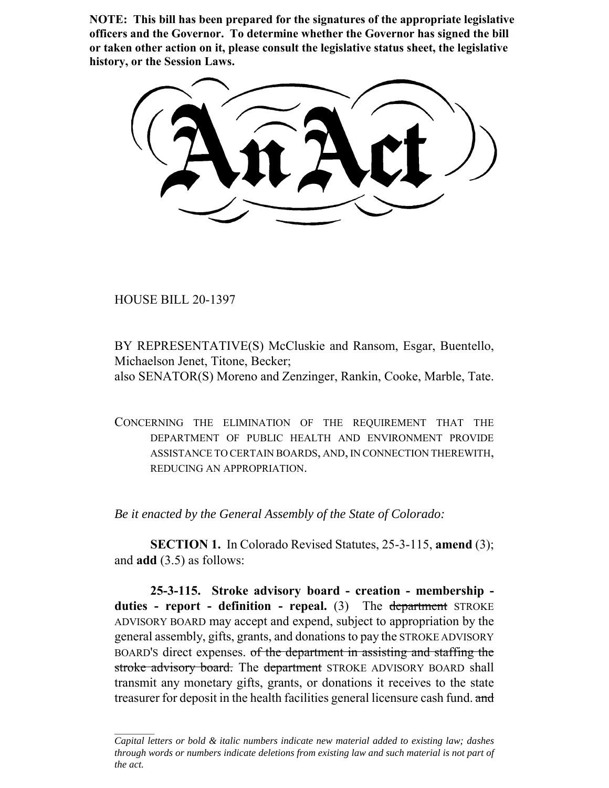**NOTE: This bill has been prepared for the signatures of the appropriate legislative officers and the Governor. To determine whether the Governor has signed the bill or taken other action on it, please consult the legislative status sheet, the legislative history, or the Session Laws.**

HOUSE BILL 20-1397

BY REPRESENTATIVE(S) McCluskie and Ransom, Esgar, Buentello, Michaelson Jenet, Titone, Becker; also SENATOR(S) Moreno and Zenzinger, Rankin, Cooke, Marble, Tate.

CONCERNING THE ELIMINATION OF THE REQUIREMENT THAT THE DEPARTMENT OF PUBLIC HEALTH AND ENVIRONMENT PROVIDE ASSISTANCE TO CERTAIN BOARDS, AND, IN CONNECTION THEREWITH, REDUCING AN APPROPRIATION.

*Be it enacted by the General Assembly of the State of Colorado:*

**SECTION 1.** In Colorado Revised Statutes, 25-3-115, **amend** (3); and **add** (3.5) as follows:

**25-3-115. Stroke advisory board - creation - membership**  duties - report - definition - repeal. (3) The department STROKE ADVISORY BOARD may accept and expend, subject to appropriation by the general assembly, gifts, grants, and donations to pay the STROKE ADVISORY BOARD'S direct expenses. of the department in assisting and staffing the stroke advisory board. The department STROKE ADVISORY BOARD shall transmit any monetary gifts, grants, or donations it receives to the state treasurer for deposit in the health facilities general licensure cash fund. and

*Capital letters or bold & italic numbers indicate new material added to existing law; dashes through words or numbers indicate deletions from existing law and such material is not part of the act.*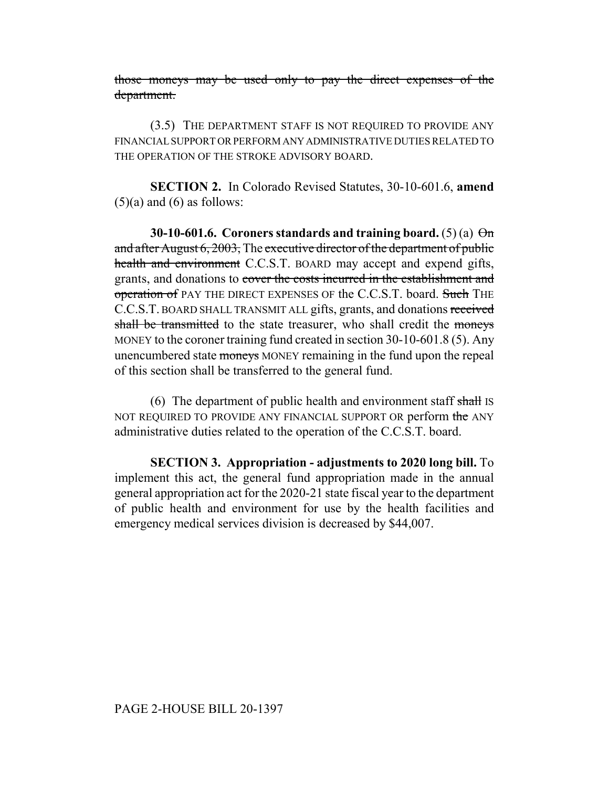those moneys may be used only to pay the direct expenses of the department.

(3.5) THE DEPARTMENT STAFF IS NOT REQUIRED TO PROVIDE ANY FINANCIAL SUPPORT OR PERFORM ANY ADMINISTRATIVE DUTIES RELATED TO THE OPERATION OF THE STROKE ADVISORY BOARD.

**SECTION 2.** In Colorado Revised Statutes, 30-10-601.6, **amend**  $(5)(a)$  and  $(6)$  as follows:

**30-10-601.6.** Coroners standards and training board.  $(5)(a) \Theta n$ and after August 6, 2003, The executive director of the department of public health and environment C.C.S.T. BOARD may accept and expend gifts, grants, and donations to cover the costs incurred in the establishment and operation of PAY THE DIRECT EXPENSES OF the C.C.S.T. board. Such THE C.C.S.T. BOARD SHALL TRANSMIT ALL gifts, grants, and donations received shall be transmitted to the state treasurer, who shall credit the moneys MONEY to the coroner training fund created in section 30-10-601.8 (5). Any unencumbered state moneys MONEY remaining in the fund upon the repeal of this section shall be transferred to the general fund.

(6) The department of public health and environment staff shall IS NOT REQUIRED TO PROVIDE ANY FINANCIAL SUPPORT OR perform the ANY administrative duties related to the operation of the C.C.S.T. board.

**SECTION 3. Appropriation - adjustments to 2020 long bill.** To implement this act, the general fund appropriation made in the annual general appropriation act for the 2020-21 state fiscal year to the department of public health and environment for use by the health facilities and emergency medical services division is decreased by \$44,007.